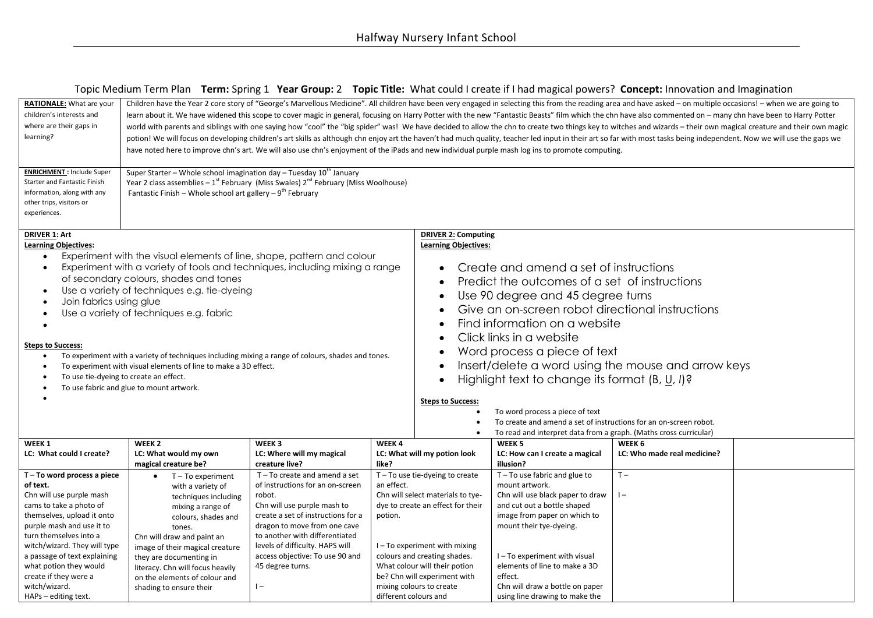# Topic Medium Term Plan **Term:** Spring 1 **Year Group:** 2 **Topic Title:** What could I create if I had magical powers? **Concept:** Innovation and Imagination

| children's interests and<br>learn about it. We have widened this scope to cover magic in general, focusing on Harry Potter with the new "Fantastic Beasts" film which the chn have also commented on - many chn have been to Harry Potter<br>where are their gaps in<br>world with parents and siblings with one saying how "cool" the "big spider" was! We have decided to allow the chn to create two things key to witches and wizards - their own magical creature and their own magic<br>learning?<br>potion! We will focus on developing children's art skills as although chn enjoy art the haven't had much quality, teacher led input in their art so far with most tasks being independent. Now we will use the gaps we<br>have noted here to improve chn's art. We will also use chn's enjoyment of the iPads and new individual purple mash log ins to promote computing.<br><b>ENRICHMENT: Include Super</b><br>Super Starter - Whole school imagination day - Tuesday 10 <sup>th</sup> January<br>Year 2 class assemblies $-1^{st}$ February (Miss Swales) $2^{nd}$ February (Miss Woolhouse)<br>Starter and Fantastic Finish<br>Fantastic Finish – Whole school art gallery – $9^{th}$ February<br>information, along with any<br>other trips, visitors or<br>experiences.<br><b>DRIVER 2: Computing</b><br><b>DRIVER 1: Art</b><br><b>Learning Objectives:</b><br><b>Learning Objectives:</b><br>Experiment with the visual elements of line, shape, pattern and colour<br>$\bullet$<br>Create and amend a set of instructions<br>Experiment with a variety of tools and techniques, including mixing a range<br>$\bullet$<br>of secondary colours, shades and tones<br>Predict the outcomes of a set of instructions<br>$\bullet$<br>Use a variety of techniques e.g. tie-dyeing<br>Use 90 degree and 45 degree turns<br>$\bullet$<br>Join fabrics using glue<br>Give an on-screen robot directional instructions<br>$\bullet$<br>Use a variety of techniques e.g. fabric<br>Find information on a website<br>$\bullet$<br>Click links in a website<br>$\bullet$<br><b>Steps to Success:</b><br>Word process a piece of text<br>$\bullet$<br>To experiment with a variety of techniques including mixing a range of colours, shades and tones.<br>Insert/delete a word using the mouse and arrow keys<br>$\bullet$<br>To experiment with visual elements of line to make a 3D effect.<br>To use tie-dyeing to create an effect.<br>Highlight text to change its format (B, U, I)?<br>To use fabric and glue to mount artwork.<br><b>Steps to Success:</b><br>To word process a piece of text<br>To create and amend a set of instructions for an on-screen robot.<br>To read and interpret data from a graph. (Maths cross curricular)<br>WEEK <sub>2</sub><br>WEEK 3<br>WEEK 1<br>WEEK4<br>WEEK <sub>5</sub><br>WEEK 6<br>LC: What could I create?<br>LC: What would my own<br>LC: Where will my magical<br>LC: What will my potion look<br>LC: How can I create a magical<br>LC: Who made real medicine?<br>magical creature be?<br>creature live?<br>illusion?<br>like?<br>T-To use tie-dyeing to create<br>$T - To$ use fabric and glue to<br>$T -$<br>$T - To word process a piece$<br>$T - To create and amend a set$<br>$T - To experiment$<br>of instructions for an on-screen<br>an effect.<br>mount artwork.<br>of text.<br>with a variety of<br>Chn will select materials to tye-<br>Chn will use purple mash<br>Chn will use black paper to draw<br>$\vert -$<br>robot.<br>techniques including<br>cams to take a photo of<br>dye to create an effect for their<br>and cut out a bottle shaped<br>Chn will use purple mash to<br>mixing a range of<br>create a set of instructions for a<br>image from paper on which to<br>themselves, upload it onto<br>potion.<br>colours, shades and<br>dragon to move from one cave<br>mount their tye-dyeing.<br>purple mash and use it to<br>tones.<br>to another with differentiated<br>turn themselves into a<br>Chn will draw and paint an<br>witch/wizard. They will type<br>levels of difficulty. HAPS will<br>I-To experiment with mixing<br>image of their magical creature<br>a passage of text explaining<br>access objective: To use 90 and<br>colours and creating shades.<br>I-To experiment with visual<br>they are documenting in<br>what potion they would<br>45 degree turns.<br>What colour will their potion<br>elements of line to make a 3D<br>literacy. Chn will focus heavily | <b>RATIONALE:</b> What are your | Children have the Year 2 core story of "George's Marvellous Medicine". All children have been very engaged in selecting this from the reading area and have asked - on multiple occasions! - when we are going to |  |                              |  |         |  |  |  |  |  |  |
|-------------------------------------------------------------------------------------------------------------------------------------------------------------------------------------------------------------------------------------------------------------------------------------------------------------------------------------------------------------------------------------------------------------------------------------------------------------------------------------------------------------------------------------------------------------------------------------------------------------------------------------------------------------------------------------------------------------------------------------------------------------------------------------------------------------------------------------------------------------------------------------------------------------------------------------------------------------------------------------------------------------------------------------------------------------------------------------------------------------------------------------------------------------------------------------------------------------------------------------------------------------------------------------------------------------------------------------------------------------------------------------------------------------------------------------------------------------------------------------------------------------------------------------------------------------------------------------------------------------------------------------------------------------------------------------------------------------------------------------------------------------------------------------------------------------------------------------------------------------------------------------------------------------------------------------------------------------------------------------------------------------------------------------------------------------------------------------------------------------------------------------------------------------------------------------------------------------------------------------------------------------------------------------------------------------------------------------------------------------------------------------------------------------------------------------------------------------------------------------------------------------------------------------------------------------------------------------------------------------------------------------------------------------------------------------------------------------------------------------------------------------------------------------------------------------------------------------------------------------------------------------------------------------------------------------------------------------------------------------------------------------------------------------------------------------------------------------------------------------------------------------------------------------------------------------------------------------------------------------------------------------------------------------------------------------------------------------------------------------------------------------------------------------------------------------------------------------------------------------------------------------------------------------------------------------------------------------------------------------------------------------------------------------------------------------------------------------------------------------------------------------------------------------------------------------------------------------------------------------------------------------------------------------------------------------------------------------------------------------------------------------------------------------------------------------------------------------------------------------------------------------------------------------------------------------------------------------------------------------------------------------------------------------------------------------------------------------------------------------------------------------------------------------------------------------------------------------------------|---------------------------------|-------------------------------------------------------------------------------------------------------------------------------------------------------------------------------------------------------------------|--|------------------------------|--|---------|--|--|--|--|--|--|
|                                                                                                                                                                                                                                                                                                                                                                                                                                                                                                                                                                                                                                                                                                                                                                                                                                                                                                                                                                                                                                                                                                                                                                                                                                                                                                                                                                                                                                                                                                                                                                                                                                                                                                                                                                                                                                                                                                                                                                                                                                                                                                                                                                                                                                                                                                                                                                                                                                                                                                                                                                                                                                                                                                                                                                                                                                                                                                                                                                                                                                                                                                                                                                                                                                                                                                                                                                                                                                                                                                                                                                                                                                                                                                                                                                                                                                                                                                                                                                                                                                                                                                                                                                                                                                                                                                                                                                                                                                                                         |                                 |                                                                                                                                                                                                                   |  |                              |  |         |  |  |  |  |  |  |
|                                                                                                                                                                                                                                                                                                                                                                                                                                                                                                                                                                                                                                                                                                                                                                                                                                                                                                                                                                                                                                                                                                                                                                                                                                                                                                                                                                                                                                                                                                                                                                                                                                                                                                                                                                                                                                                                                                                                                                                                                                                                                                                                                                                                                                                                                                                                                                                                                                                                                                                                                                                                                                                                                                                                                                                                                                                                                                                                                                                                                                                                                                                                                                                                                                                                                                                                                                                                                                                                                                                                                                                                                                                                                                                                                                                                                                                                                                                                                                                                                                                                                                                                                                                                                                                                                                                                                                                                                                                                         |                                 |                                                                                                                                                                                                                   |  |                              |  |         |  |  |  |  |  |  |
|                                                                                                                                                                                                                                                                                                                                                                                                                                                                                                                                                                                                                                                                                                                                                                                                                                                                                                                                                                                                                                                                                                                                                                                                                                                                                                                                                                                                                                                                                                                                                                                                                                                                                                                                                                                                                                                                                                                                                                                                                                                                                                                                                                                                                                                                                                                                                                                                                                                                                                                                                                                                                                                                                                                                                                                                                                                                                                                                                                                                                                                                                                                                                                                                                                                                                                                                                                                                                                                                                                                                                                                                                                                                                                                                                                                                                                                                                                                                                                                                                                                                                                                                                                                                                                                                                                                                                                                                                                                                         |                                 |                                                                                                                                                                                                                   |  |                              |  |         |  |  |  |  |  |  |
|                                                                                                                                                                                                                                                                                                                                                                                                                                                                                                                                                                                                                                                                                                                                                                                                                                                                                                                                                                                                                                                                                                                                                                                                                                                                                                                                                                                                                                                                                                                                                                                                                                                                                                                                                                                                                                                                                                                                                                                                                                                                                                                                                                                                                                                                                                                                                                                                                                                                                                                                                                                                                                                                                                                                                                                                                                                                                                                                                                                                                                                                                                                                                                                                                                                                                                                                                                                                                                                                                                                                                                                                                                                                                                                                                                                                                                                                                                                                                                                                                                                                                                                                                                                                                                                                                                                                                                                                                                                                         |                                 |                                                                                                                                                                                                                   |  |                              |  |         |  |  |  |  |  |  |
|                                                                                                                                                                                                                                                                                                                                                                                                                                                                                                                                                                                                                                                                                                                                                                                                                                                                                                                                                                                                                                                                                                                                                                                                                                                                                                                                                                                                                                                                                                                                                                                                                                                                                                                                                                                                                                                                                                                                                                                                                                                                                                                                                                                                                                                                                                                                                                                                                                                                                                                                                                                                                                                                                                                                                                                                                                                                                                                                                                                                                                                                                                                                                                                                                                                                                                                                                                                                                                                                                                                                                                                                                                                                                                                                                                                                                                                                                                                                                                                                                                                                                                                                                                                                                                                                                                                                                                                                                                                                         |                                 |                                                                                                                                                                                                                   |  |                              |  |         |  |  |  |  |  |  |
|                                                                                                                                                                                                                                                                                                                                                                                                                                                                                                                                                                                                                                                                                                                                                                                                                                                                                                                                                                                                                                                                                                                                                                                                                                                                                                                                                                                                                                                                                                                                                                                                                                                                                                                                                                                                                                                                                                                                                                                                                                                                                                                                                                                                                                                                                                                                                                                                                                                                                                                                                                                                                                                                                                                                                                                                                                                                                                                                                                                                                                                                                                                                                                                                                                                                                                                                                                                                                                                                                                                                                                                                                                                                                                                                                                                                                                                                                                                                                                                                                                                                                                                                                                                                                                                                                                                                                                                                                                                                         |                                 |                                                                                                                                                                                                                   |  |                              |  |         |  |  |  |  |  |  |
|                                                                                                                                                                                                                                                                                                                                                                                                                                                                                                                                                                                                                                                                                                                                                                                                                                                                                                                                                                                                                                                                                                                                                                                                                                                                                                                                                                                                                                                                                                                                                                                                                                                                                                                                                                                                                                                                                                                                                                                                                                                                                                                                                                                                                                                                                                                                                                                                                                                                                                                                                                                                                                                                                                                                                                                                                                                                                                                                                                                                                                                                                                                                                                                                                                                                                                                                                                                                                                                                                                                                                                                                                                                                                                                                                                                                                                                                                                                                                                                                                                                                                                                                                                                                                                                                                                                                                                                                                                                                         |                                 |                                                                                                                                                                                                                   |  |                              |  |         |  |  |  |  |  |  |
|                                                                                                                                                                                                                                                                                                                                                                                                                                                                                                                                                                                                                                                                                                                                                                                                                                                                                                                                                                                                                                                                                                                                                                                                                                                                                                                                                                                                                                                                                                                                                                                                                                                                                                                                                                                                                                                                                                                                                                                                                                                                                                                                                                                                                                                                                                                                                                                                                                                                                                                                                                                                                                                                                                                                                                                                                                                                                                                                                                                                                                                                                                                                                                                                                                                                                                                                                                                                                                                                                                                                                                                                                                                                                                                                                                                                                                                                                                                                                                                                                                                                                                                                                                                                                                                                                                                                                                                                                                                                         |                                 |                                                                                                                                                                                                                   |  |                              |  |         |  |  |  |  |  |  |
|                                                                                                                                                                                                                                                                                                                                                                                                                                                                                                                                                                                                                                                                                                                                                                                                                                                                                                                                                                                                                                                                                                                                                                                                                                                                                                                                                                                                                                                                                                                                                                                                                                                                                                                                                                                                                                                                                                                                                                                                                                                                                                                                                                                                                                                                                                                                                                                                                                                                                                                                                                                                                                                                                                                                                                                                                                                                                                                                                                                                                                                                                                                                                                                                                                                                                                                                                                                                                                                                                                                                                                                                                                                                                                                                                                                                                                                                                                                                                                                                                                                                                                                                                                                                                                                                                                                                                                                                                                                                         |                                 |                                                                                                                                                                                                                   |  |                              |  |         |  |  |  |  |  |  |
|                                                                                                                                                                                                                                                                                                                                                                                                                                                                                                                                                                                                                                                                                                                                                                                                                                                                                                                                                                                                                                                                                                                                                                                                                                                                                                                                                                                                                                                                                                                                                                                                                                                                                                                                                                                                                                                                                                                                                                                                                                                                                                                                                                                                                                                                                                                                                                                                                                                                                                                                                                                                                                                                                                                                                                                                                                                                                                                                                                                                                                                                                                                                                                                                                                                                                                                                                                                                                                                                                                                                                                                                                                                                                                                                                                                                                                                                                                                                                                                                                                                                                                                                                                                                                                                                                                                                                                                                                                                                         |                                 |                                                                                                                                                                                                                   |  |                              |  |         |  |  |  |  |  |  |
|                                                                                                                                                                                                                                                                                                                                                                                                                                                                                                                                                                                                                                                                                                                                                                                                                                                                                                                                                                                                                                                                                                                                                                                                                                                                                                                                                                                                                                                                                                                                                                                                                                                                                                                                                                                                                                                                                                                                                                                                                                                                                                                                                                                                                                                                                                                                                                                                                                                                                                                                                                                                                                                                                                                                                                                                                                                                                                                                                                                                                                                                                                                                                                                                                                                                                                                                                                                                                                                                                                                                                                                                                                                                                                                                                                                                                                                                                                                                                                                                                                                                                                                                                                                                                                                                                                                                                                                                                                                                         |                                 |                                                                                                                                                                                                                   |  |                              |  |         |  |  |  |  |  |  |
|                                                                                                                                                                                                                                                                                                                                                                                                                                                                                                                                                                                                                                                                                                                                                                                                                                                                                                                                                                                                                                                                                                                                                                                                                                                                                                                                                                                                                                                                                                                                                                                                                                                                                                                                                                                                                                                                                                                                                                                                                                                                                                                                                                                                                                                                                                                                                                                                                                                                                                                                                                                                                                                                                                                                                                                                                                                                                                                                                                                                                                                                                                                                                                                                                                                                                                                                                                                                                                                                                                                                                                                                                                                                                                                                                                                                                                                                                                                                                                                                                                                                                                                                                                                                                                                                                                                                                                                                                                                                         |                                 |                                                                                                                                                                                                                   |  |                              |  |         |  |  |  |  |  |  |
|                                                                                                                                                                                                                                                                                                                                                                                                                                                                                                                                                                                                                                                                                                                                                                                                                                                                                                                                                                                                                                                                                                                                                                                                                                                                                                                                                                                                                                                                                                                                                                                                                                                                                                                                                                                                                                                                                                                                                                                                                                                                                                                                                                                                                                                                                                                                                                                                                                                                                                                                                                                                                                                                                                                                                                                                                                                                                                                                                                                                                                                                                                                                                                                                                                                                                                                                                                                                                                                                                                                                                                                                                                                                                                                                                                                                                                                                                                                                                                                                                                                                                                                                                                                                                                                                                                                                                                                                                                                                         |                                 |                                                                                                                                                                                                                   |  |                              |  |         |  |  |  |  |  |  |
|                                                                                                                                                                                                                                                                                                                                                                                                                                                                                                                                                                                                                                                                                                                                                                                                                                                                                                                                                                                                                                                                                                                                                                                                                                                                                                                                                                                                                                                                                                                                                                                                                                                                                                                                                                                                                                                                                                                                                                                                                                                                                                                                                                                                                                                                                                                                                                                                                                                                                                                                                                                                                                                                                                                                                                                                                                                                                                                                                                                                                                                                                                                                                                                                                                                                                                                                                                                                                                                                                                                                                                                                                                                                                                                                                                                                                                                                                                                                                                                                                                                                                                                                                                                                                                                                                                                                                                                                                                                                         |                                 |                                                                                                                                                                                                                   |  |                              |  |         |  |  |  |  |  |  |
|                                                                                                                                                                                                                                                                                                                                                                                                                                                                                                                                                                                                                                                                                                                                                                                                                                                                                                                                                                                                                                                                                                                                                                                                                                                                                                                                                                                                                                                                                                                                                                                                                                                                                                                                                                                                                                                                                                                                                                                                                                                                                                                                                                                                                                                                                                                                                                                                                                                                                                                                                                                                                                                                                                                                                                                                                                                                                                                                                                                                                                                                                                                                                                                                                                                                                                                                                                                                                                                                                                                                                                                                                                                                                                                                                                                                                                                                                                                                                                                                                                                                                                                                                                                                                                                                                                                                                                                                                                                                         |                                 |                                                                                                                                                                                                                   |  |                              |  |         |  |  |  |  |  |  |
|                                                                                                                                                                                                                                                                                                                                                                                                                                                                                                                                                                                                                                                                                                                                                                                                                                                                                                                                                                                                                                                                                                                                                                                                                                                                                                                                                                                                                                                                                                                                                                                                                                                                                                                                                                                                                                                                                                                                                                                                                                                                                                                                                                                                                                                                                                                                                                                                                                                                                                                                                                                                                                                                                                                                                                                                                                                                                                                                                                                                                                                                                                                                                                                                                                                                                                                                                                                                                                                                                                                                                                                                                                                                                                                                                                                                                                                                                                                                                                                                                                                                                                                                                                                                                                                                                                                                                                                                                                                                         |                                 |                                                                                                                                                                                                                   |  |                              |  |         |  |  |  |  |  |  |
|                                                                                                                                                                                                                                                                                                                                                                                                                                                                                                                                                                                                                                                                                                                                                                                                                                                                                                                                                                                                                                                                                                                                                                                                                                                                                                                                                                                                                                                                                                                                                                                                                                                                                                                                                                                                                                                                                                                                                                                                                                                                                                                                                                                                                                                                                                                                                                                                                                                                                                                                                                                                                                                                                                                                                                                                                                                                                                                                                                                                                                                                                                                                                                                                                                                                                                                                                                                                                                                                                                                                                                                                                                                                                                                                                                                                                                                                                                                                                                                                                                                                                                                                                                                                                                                                                                                                                                                                                                                                         |                                 |                                                                                                                                                                                                                   |  |                              |  |         |  |  |  |  |  |  |
|                                                                                                                                                                                                                                                                                                                                                                                                                                                                                                                                                                                                                                                                                                                                                                                                                                                                                                                                                                                                                                                                                                                                                                                                                                                                                                                                                                                                                                                                                                                                                                                                                                                                                                                                                                                                                                                                                                                                                                                                                                                                                                                                                                                                                                                                                                                                                                                                                                                                                                                                                                                                                                                                                                                                                                                                                                                                                                                                                                                                                                                                                                                                                                                                                                                                                                                                                                                                                                                                                                                                                                                                                                                                                                                                                                                                                                                                                                                                                                                                                                                                                                                                                                                                                                                                                                                                                                                                                                                                         |                                 |                                                                                                                                                                                                                   |  |                              |  |         |  |  |  |  |  |  |
|                                                                                                                                                                                                                                                                                                                                                                                                                                                                                                                                                                                                                                                                                                                                                                                                                                                                                                                                                                                                                                                                                                                                                                                                                                                                                                                                                                                                                                                                                                                                                                                                                                                                                                                                                                                                                                                                                                                                                                                                                                                                                                                                                                                                                                                                                                                                                                                                                                                                                                                                                                                                                                                                                                                                                                                                                                                                                                                                                                                                                                                                                                                                                                                                                                                                                                                                                                                                                                                                                                                                                                                                                                                                                                                                                                                                                                                                                                                                                                                                                                                                                                                                                                                                                                                                                                                                                                                                                                                                         |                                 |                                                                                                                                                                                                                   |  |                              |  |         |  |  |  |  |  |  |
|                                                                                                                                                                                                                                                                                                                                                                                                                                                                                                                                                                                                                                                                                                                                                                                                                                                                                                                                                                                                                                                                                                                                                                                                                                                                                                                                                                                                                                                                                                                                                                                                                                                                                                                                                                                                                                                                                                                                                                                                                                                                                                                                                                                                                                                                                                                                                                                                                                                                                                                                                                                                                                                                                                                                                                                                                                                                                                                                                                                                                                                                                                                                                                                                                                                                                                                                                                                                                                                                                                                                                                                                                                                                                                                                                                                                                                                                                                                                                                                                                                                                                                                                                                                                                                                                                                                                                                                                                                                                         |                                 |                                                                                                                                                                                                                   |  |                              |  |         |  |  |  |  |  |  |
|                                                                                                                                                                                                                                                                                                                                                                                                                                                                                                                                                                                                                                                                                                                                                                                                                                                                                                                                                                                                                                                                                                                                                                                                                                                                                                                                                                                                                                                                                                                                                                                                                                                                                                                                                                                                                                                                                                                                                                                                                                                                                                                                                                                                                                                                                                                                                                                                                                                                                                                                                                                                                                                                                                                                                                                                                                                                                                                                                                                                                                                                                                                                                                                                                                                                                                                                                                                                                                                                                                                                                                                                                                                                                                                                                                                                                                                                                                                                                                                                                                                                                                                                                                                                                                                                                                                                                                                                                                                                         |                                 |                                                                                                                                                                                                                   |  |                              |  |         |  |  |  |  |  |  |
|                                                                                                                                                                                                                                                                                                                                                                                                                                                                                                                                                                                                                                                                                                                                                                                                                                                                                                                                                                                                                                                                                                                                                                                                                                                                                                                                                                                                                                                                                                                                                                                                                                                                                                                                                                                                                                                                                                                                                                                                                                                                                                                                                                                                                                                                                                                                                                                                                                                                                                                                                                                                                                                                                                                                                                                                                                                                                                                                                                                                                                                                                                                                                                                                                                                                                                                                                                                                                                                                                                                                                                                                                                                                                                                                                                                                                                                                                                                                                                                                                                                                                                                                                                                                                                                                                                                                                                                                                                                                         |                                 |                                                                                                                                                                                                                   |  |                              |  |         |  |  |  |  |  |  |
|                                                                                                                                                                                                                                                                                                                                                                                                                                                                                                                                                                                                                                                                                                                                                                                                                                                                                                                                                                                                                                                                                                                                                                                                                                                                                                                                                                                                                                                                                                                                                                                                                                                                                                                                                                                                                                                                                                                                                                                                                                                                                                                                                                                                                                                                                                                                                                                                                                                                                                                                                                                                                                                                                                                                                                                                                                                                                                                                                                                                                                                                                                                                                                                                                                                                                                                                                                                                                                                                                                                                                                                                                                                                                                                                                                                                                                                                                                                                                                                                                                                                                                                                                                                                                                                                                                                                                                                                                                                                         |                                 |                                                                                                                                                                                                                   |  |                              |  |         |  |  |  |  |  |  |
|                                                                                                                                                                                                                                                                                                                                                                                                                                                                                                                                                                                                                                                                                                                                                                                                                                                                                                                                                                                                                                                                                                                                                                                                                                                                                                                                                                                                                                                                                                                                                                                                                                                                                                                                                                                                                                                                                                                                                                                                                                                                                                                                                                                                                                                                                                                                                                                                                                                                                                                                                                                                                                                                                                                                                                                                                                                                                                                                                                                                                                                                                                                                                                                                                                                                                                                                                                                                                                                                                                                                                                                                                                                                                                                                                                                                                                                                                                                                                                                                                                                                                                                                                                                                                                                                                                                                                                                                                                                                         |                                 |                                                                                                                                                                                                                   |  |                              |  |         |  |  |  |  |  |  |
|                                                                                                                                                                                                                                                                                                                                                                                                                                                                                                                                                                                                                                                                                                                                                                                                                                                                                                                                                                                                                                                                                                                                                                                                                                                                                                                                                                                                                                                                                                                                                                                                                                                                                                                                                                                                                                                                                                                                                                                                                                                                                                                                                                                                                                                                                                                                                                                                                                                                                                                                                                                                                                                                                                                                                                                                                                                                                                                                                                                                                                                                                                                                                                                                                                                                                                                                                                                                                                                                                                                                                                                                                                                                                                                                                                                                                                                                                                                                                                                                                                                                                                                                                                                                                                                                                                                                                                                                                                                                         |                                 |                                                                                                                                                                                                                   |  |                              |  |         |  |  |  |  |  |  |
|                                                                                                                                                                                                                                                                                                                                                                                                                                                                                                                                                                                                                                                                                                                                                                                                                                                                                                                                                                                                                                                                                                                                                                                                                                                                                                                                                                                                                                                                                                                                                                                                                                                                                                                                                                                                                                                                                                                                                                                                                                                                                                                                                                                                                                                                                                                                                                                                                                                                                                                                                                                                                                                                                                                                                                                                                                                                                                                                                                                                                                                                                                                                                                                                                                                                                                                                                                                                                                                                                                                                                                                                                                                                                                                                                                                                                                                                                                                                                                                                                                                                                                                                                                                                                                                                                                                                                                                                                                                                         |                                 |                                                                                                                                                                                                                   |  |                              |  |         |  |  |  |  |  |  |
|                                                                                                                                                                                                                                                                                                                                                                                                                                                                                                                                                                                                                                                                                                                                                                                                                                                                                                                                                                                                                                                                                                                                                                                                                                                                                                                                                                                                                                                                                                                                                                                                                                                                                                                                                                                                                                                                                                                                                                                                                                                                                                                                                                                                                                                                                                                                                                                                                                                                                                                                                                                                                                                                                                                                                                                                                                                                                                                                                                                                                                                                                                                                                                                                                                                                                                                                                                                                                                                                                                                                                                                                                                                                                                                                                                                                                                                                                                                                                                                                                                                                                                                                                                                                                                                                                                                                                                                                                                                                         |                                 |                                                                                                                                                                                                                   |  |                              |  |         |  |  |  |  |  |  |
|                                                                                                                                                                                                                                                                                                                                                                                                                                                                                                                                                                                                                                                                                                                                                                                                                                                                                                                                                                                                                                                                                                                                                                                                                                                                                                                                                                                                                                                                                                                                                                                                                                                                                                                                                                                                                                                                                                                                                                                                                                                                                                                                                                                                                                                                                                                                                                                                                                                                                                                                                                                                                                                                                                                                                                                                                                                                                                                                                                                                                                                                                                                                                                                                                                                                                                                                                                                                                                                                                                                                                                                                                                                                                                                                                                                                                                                                                                                                                                                                                                                                                                                                                                                                                                                                                                                                                                                                                                                                         |                                 |                                                                                                                                                                                                                   |  |                              |  |         |  |  |  |  |  |  |
|                                                                                                                                                                                                                                                                                                                                                                                                                                                                                                                                                                                                                                                                                                                                                                                                                                                                                                                                                                                                                                                                                                                                                                                                                                                                                                                                                                                                                                                                                                                                                                                                                                                                                                                                                                                                                                                                                                                                                                                                                                                                                                                                                                                                                                                                                                                                                                                                                                                                                                                                                                                                                                                                                                                                                                                                                                                                                                                                                                                                                                                                                                                                                                                                                                                                                                                                                                                                                                                                                                                                                                                                                                                                                                                                                                                                                                                                                                                                                                                                                                                                                                                                                                                                                                                                                                                                                                                                                                                                         |                                 |                                                                                                                                                                                                                   |  |                              |  |         |  |  |  |  |  |  |
|                                                                                                                                                                                                                                                                                                                                                                                                                                                                                                                                                                                                                                                                                                                                                                                                                                                                                                                                                                                                                                                                                                                                                                                                                                                                                                                                                                                                                                                                                                                                                                                                                                                                                                                                                                                                                                                                                                                                                                                                                                                                                                                                                                                                                                                                                                                                                                                                                                                                                                                                                                                                                                                                                                                                                                                                                                                                                                                                                                                                                                                                                                                                                                                                                                                                                                                                                                                                                                                                                                                                                                                                                                                                                                                                                                                                                                                                                                                                                                                                                                                                                                                                                                                                                                                                                                                                                                                                                                                                         |                                 |                                                                                                                                                                                                                   |  |                              |  |         |  |  |  |  |  |  |
|                                                                                                                                                                                                                                                                                                                                                                                                                                                                                                                                                                                                                                                                                                                                                                                                                                                                                                                                                                                                                                                                                                                                                                                                                                                                                                                                                                                                                                                                                                                                                                                                                                                                                                                                                                                                                                                                                                                                                                                                                                                                                                                                                                                                                                                                                                                                                                                                                                                                                                                                                                                                                                                                                                                                                                                                                                                                                                                                                                                                                                                                                                                                                                                                                                                                                                                                                                                                                                                                                                                                                                                                                                                                                                                                                                                                                                                                                                                                                                                                                                                                                                                                                                                                                                                                                                                                                                                                                                                                         |                                 |                                                                                                                                                                                                                   |  |                              |  |         |  |  |  |  |  |  |
|                                                                                                                                                                                                                                                                                                                                                                                                                                                                                                                                                                                                                                                                                                                                                                                                                                                                                                                                                                                                                                                                                                                                                                                                                                                                                                                                                                                                                                                                                                                                                                                                                                                                                                                                                                                                                                                                                                                                                                                                                                                                                                                                                                                                                                                                                                                                                                                                                                                                                                                                                                                                                                                                                                                                                                                                                                                                                                                                                                                                                                                                                                                                                                                                                                                                                                                                                                                                                                                                                                                                                                                                                                                                                                                                                                                                                                                                                                                                                                                                                                                                                                                                                                                                                                                                                                                                                                                                                                                                         |                                 |                                                                                                                                                                                                                   |  |                              |  |         |  |  |  |  |  |  |
|                                                                                                                                                                                                                                                                                                                                                                                                                                                                                                                                                                                                                                                                                                                                                                                                                                                                                                                                                                                                                                                                                                                                                                                                                                                                                                                                                                                                                                                                                                                                                                                                                                                                                                                                                                                                                                                                                                                                                                                                                                                                                                                                                                                                                                                                                                                                                                                                                                                                                                                                                                                                                                                                                                                                                                                                                                                                                                                                                                                                                                                                                                                                                                                                                                                                                                                                                                                                                                                                                                                                                                                                                                                                                                                                                                                                                                                                                                                                                                                                                                                                                                                                                                                                                                                                                                                                                                                                                                                                         |                                 |                                                                                                                                                                                                                   |  |                              |  |         |  |  |  |  |  |  |
|                                                                                                                                                                                                                                                                                                                                                                                                                                                                                                                                                                                                                                                                                                                                                                                                                                                                                                                                                                                                                                                                                                                                                                                                                                                                                                                                                                                                                                                                                                                                                                                                                                                                                                                                                                                                                                                                                                                                                                                                                                                                                                                                                                                                                                                                                                                                                                                                                                                                                                                                                                                                                                                                                                                                                                                                                                                                                                                                                                                                                                                                                                                                                                                                                                                                                                                                                                                                                                                                                                                                                                                                                                                                                                                                                                                                                                                                                                                                                                                                                                                                                                                                                                                                                                                                                                                                                                                                                                                                         |                                 |                                                                                                                                                                                                                   |  |                              |  |         |  |  |  |  |  |  |
|                                                                                                                                                                                                                                                                                                                                                                                                                                                                                                                                                                                                                                                                                                                                                                                                                                                                                                                                                                                                                                                                                                                                                                                                                                                                                                                                                                                                                                                                                                                                                                                                                                                                                                                                                                                                                                                                                                                                                                                                                                                                                                                                                                                                                                                                                                                                                                                                                                                                                                                                                                                                                                                                                                                                                                                                                                                                                                                                                                                                                                                                                                                                                                                                                                                                                                                                                                                                                                                                                                                                                                                                                                                                                                                                                                                                                                                                                                                                                                                                                                                                                                                                                                                                                                                                                                                                                                                                                                                                         |                                 |                                                                                                                                                                                                                   |  |                              |  |         |  |  |  |  |  |  |
|                                                                                                                                                                                                                                                                                                                                                                                                                                                                                                                                                                                                                                                                                                                                                                                                                                                                                                                                                                                                                                                                                                                                                                                                                                                                                                                                                                                                                                                                                                                                                                                                                                                                                                                                                                                                                                                                                                                                                                                                                                                                                                                                                                                                                                                                                                                                                                                                                                                                                                                                                                                                                                                                                                                                                                                                                                                                                                                                                                                                                                                                                                                                                                                                                                                                                                                                                                                                                                                                                                                                                                                                                                                                                                                                                                                                                                                                                                                                                                                                                                                                                                                                                                                                                                                                                                                                                                                                                                                                         |                                 |                                                                                                                                                                                                                   |  |                              |  |         |  |  |  |  |  |  |
|                                                                                                                                                                                                                                                                                                                                                                                                                                                                                                                                                                                                                                                                                                                                                                                                                                                                                                                                                                                                                                                                                                                                                                                                                                                                                                                                                                                                                                                                                                                                                                                                                                                                                                                                                                                                                                                                                                                                                                                                                                                                                                                                                                                                                                                                                                                                                                                                                                                                                                                                                                                                                                                                                                                                                                                                                                                                                                                                                                                                                                                                                                                                                                                                                                                                                                                                                                                                                                                                                                                                                                                                                                                                                                                                                                                                                                                                                                                                                                                                                                                                                                                                                                                                                                                                                                                                                                                                                                                                         |                                 |                                                                                                                                                                                                                   |  |                              |  |         |  |  |  |  |  |  |
|                                                                                                                                                                                                                                                                                                                                                                                                                                                                                                                                                                                                                                                                                                                                                                                                                                                                                                                                                                                                                                                                                                                                                                                                                                                                                                                                                                                                                                                                                                                                                                                                                                                                                                                                                                                                                                                                                                                                                                                                                                                                                                                                                                                                                                                                                                                                                                                                                                                                                                                                                                                                                                                                                                                                                                                                                                                                                                                                                                                                                                                                                                                                                                                                                                                                                                                                                                                                                                                                                                                                                                                                                                                                                                                                                                                                                                                                                                                                                                                                                                                                                                                                                                                                                                                                                                                                                                                                                                                                         |                                 |                                                                                                                                                                                                                   |  |                              |  |         |  |  |  |  |  |  |
|                                                                                                                                                                                                                                                                                                                                                                                                                                                                                                                                                                                                                                                                                                                                                                                                                                                                                                                                                                                                                                                                                                                                                                                                                                                                                                                                                                                                                                                                                                                                                                                                                                                                                                                                                                                                                                                                                                                                                                                                                                                                                                                                                                                                                                                                                                                                                                                                                                                                                                                                                                                                                                                                                                                                                                                                                                                                                                                                                                                                                                                                                                                                                                                                                                                                                                                                                                                                                                                                                                                                                                                                                                                                                                                                                                                                                                                                                                                                                                                                                                                                                                                                                                                                                                                                                                                                                                                                                                                                         |                                 |                                                                                                                                                                                                                   |  |                              |  |         |  |  |  |  |  |  |
|                                                                                                                                                                                                                                                                                                                                                                                                                                                                                                                                                                                                                                                                                                                                                                                                                                                                                                                                                                                                                                                                                                                                                                                                                                                                                                                                                                                                                                                                                                                                                                                                                                                                                                                                                                                                                                                                                                                                                                                                                                                                                                                                                                                                                                                                                                                                                                                                                                                                                                                                                                                                                                                                                                                                                                                                                                                                                                                                                                                                                                                                                                                                                                                                                                                                                                                                                                                                                                                                                                                                                                                                                                                                                                                                                                                                                                                                                                                                                                                                                                                                                                                                                                                                                                                                                                                                                                                                                                                                         |                                 |                                                                                                                                                                                                                   |  |                              |  |         |  |  |  |  |  |  |
|                                                                                                                                                                                                                                                                                                                                                                                                                                                                                                                                                                                                                                                                                                                                                                                                                                                                                                                                                                                                                                                                                                                                                                                                                                                                                                                                                                                                                                                                                                                                                                                                                                                                                                                                                                                                                                                                                                                                                                                                                                                                                                                                                                                                                                                                                                                                                                                                                                                                                                                                                                                                                                                                                                                                                                                                                                                                                                                                                                                                                                                                                                                                                                                                                                                                                                                                                                                                                                                                                                                                                                                                                                                                                                                                                                                                                                                                                                                                                                                                                                                                                                                                                                                                                                                                                                                                                                                                                                                                         |                                 |                                                                                                                                                                                                                   |  |                              |  |         |  |  |  |  |  |  |
|                                                                                                                                                                                                                                                                                                                                                                                                                                                                                                                                                                                                                                                                                                                                                                                                                                                                                                                                                                                                                                                                                                                                                                                                                                                                                                                                                                                                                                                                                                                                                                                                                                                                                                                                                                                                                                                                                                                                                                                                                                                                                                                                                                                                                                                                                                                                                                                                                                                                                                                                                                                                                                                                                                                                                                                                                                                                                                                                                                                                                                                                                                                                                                                                                                                                                                                                                                                                                                                                                                                                                                                                                                                                                                                                                                                                                                                                                                                                                                                                                                                                                                                                                                                                                                                                                                                                                                                                                                                                         |                                 |                                                                                                                                                                                                                   |  |                              |  |         |  |  |  |  |  |  |
|                                                                                                                                                                                                                                                                                                                                                                                                                                                                                                                                                                                                                                                                                                                                                                                                                                                                                                                                                                                                                                                                                                                                                                                                                                                                                                                                                                                                                                                                                                                                                                                                                                                                                                                                                                                                                                                                                                                                                                                                                                                                                                                                                                                                                                                                                                                                                                                                                                                                                                                                                                                                                                                                                                                                                                                                                                                                                                                                                                                                                                                                                                                                                                                                                                                                                                                                                                                                                                                                                                                                                                                                                                                                                                                                                                                                                                                                                                                                                                                                                                                                                                                                                                                                                                                                                                                                                                                                                                                                         | create if they were a           | on the elements of colour and                                                                                                                                                                                     |  | be? Chn will experiment with |  | effect. |  |  |  |  |  |  |
| witch/wizard.<br>Chn will draw a bottle on paper<br>$\vert -$<br>shading to ensure their                                                                                                                                                                                                                                                                                                                                                                                                                                                                                                                                                                                                                                                                                                                                                                                                                                                                                                                                                                                                                                                                                                                                                                                                                                                                                                                                                                                                                                                                                                                                                                                                                                                                                                                                                                                                                                                                                                                                                                                                                                                                                                                                                                                                                                                                                                                                                                                                                                                                                                                                                                                                                                                                                                                                                                                                                                                                                                                                                                                                                                                                                                                                                                                                                                                                                                                                                                                                                                                                                                                                                                                                                                                                                                                                                                                                                                                                                                                                                                                                                                                                                                                                                                                                                                                                                                                                                                                |                                 |                                                                                                                                                                                                                   |  | mixing colours to create     |  |         |  |  |  |  |  |  |
| different colours and<br>HAPs – editing text.<br>using line drawing to make the                                                                                                                                                                                                                                                                                                                                                                                                                                                                                                                                                                                                                                                                                                                                                                                                                                                                                                                                                                                                                                                                                                                                                                                                                                                                                                                                                                                                                                                                                                                                                                                                                                                                                                                                                                                                                                                                                                                                                                                                                                                                                                                                                                                                                                                                                                                                                                                                                                                                                                                                                                                                                                                                                                                                                                                                                                                                                                                                                                                                                                                                                                                                                                                                                                                                                                                                                                                                                                                                                                                                                                                                                                                                                                                                                                                                                                                                                                                                                                                                                                                                                                                                                                                                                                                                                                                                                                                         |                                 |                                                                                                                                                                                                                   |  |                              |  |         |  |  |  |  |  |  |